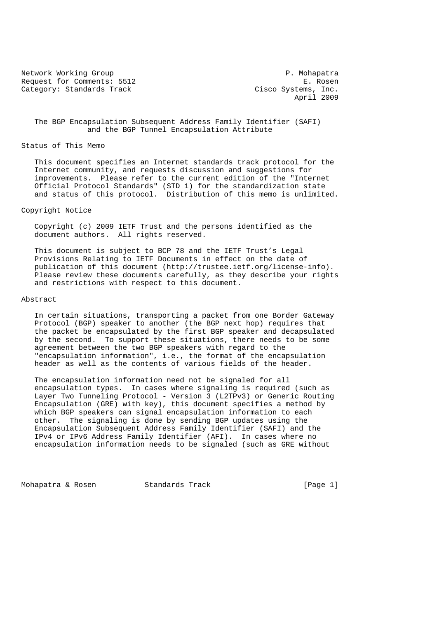Network Working Group **P. Mohapatra** Request for Comments: 5512 E. Rosen<br>Category: Standards Track Cisco Systems, Inc. Category: Standards Track

April 2009

## The BGP Encapsulation Subsequent Address Family Identifier (SAFI) and the BGP Tunnel Encapsulation Attribute

Status of This Memo

 This document specifies an Internet standards track protocol for the Internet community, and requests discussion and suggestions for improvements. Please refer to the current edition of the "Internet Official Protocol Standards" (STD 1) for the standardization state and status of this protocol. Distribution of this memo is unlimited.

# Copyright Notice

 Copyright (c) 2009 IETF Trust and the persons identified as the document authors. All rights reserved.

 This document is subject to BCP 78 and the IETF Trust's Legal Provisions Relating to IETF Documents in effect on the date of publication of this document (http://trustee.ietf.org/license-info). Please review these documents carefully, as they describe your rights and restrictions with respect to this document.

# Abstract

 In certain situations, transporting a packet from one Border Gateway Protocol (BGP) speaker to another (the BGP next hop) requires that the packet be encapsulated by the first BGP speaker and decapsulated by the second. To support these situations, there needs to be some agreement between the two BGP speakers with regard to the "encapsulation information", i.e., the format of the encapsulation header as well as the contents of various fields of the header.

 The encapsulation information need not be signaled for all encapsulation types. In cases where signaling is required (such as Layer Two Tunneling Protocol - Version 3 (L2TPv3) or Generic Routing Encapsulation (GRE) with key), this document specifies a method by which BGP speakers can signal encapsulation information to each other. The signaling is done by sending BGP updates using the Encapsulation Subsequent Address Family Identifier (SAFI) and the IPv4 or IPv6 Address Family Identifier (AFI). In cases where no encapsulation information needs to be signaled (such as GRE without

Mohapatra & Rosen Standards Track [Page 1]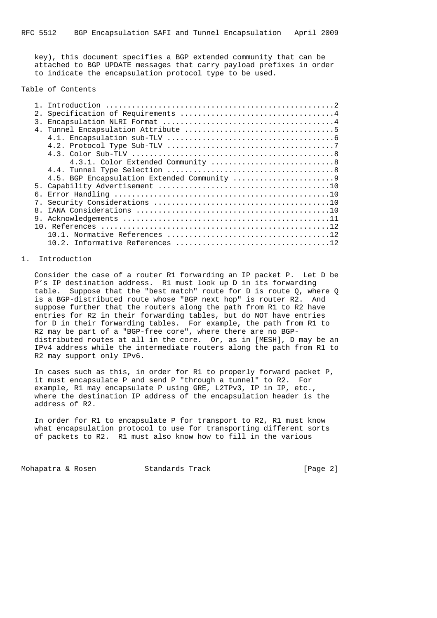key), this document specifies a BGP extended community that can be attached to BGP UPDATE messages that carry payload prefixes in order to indicate the encapsulation protocol type to be used.

Table of Contents

| 2.            |  |
|---------------|--|
| $\mathcal{R}$ |  |
|               |  |
|               |  |
|               |  |
|               |  |
|               |  |
|               |  |
|               |  |
|               |  |
| б.            |  |
| $7_{\circ}$   |  |
| 8.            |  |
|               |  |
|               |  |
|               |  |
|               |  |
|               |  |

# 1. Introduction

 Consider the case of a router R1 forwarding an IP packet P. Let D be P's IP destination address. R1 must look up D in its forwarding table. Suppose that the "best match" route for D is route Q, where Q is a BGP-distributed route whose "BGP next hop" is router R2. And suppose further that the routers along the path from R1 to R2 have entries for R2 in their forwarding tables, but do NOT have entries for D in their forwarding tables. For example, the path from R1 to R2 may be part of a "BGP-free core", where there are no BGP distributed routes at all in the core. Or, as in [MESH], D may be an IPv4 address while the intermediate routers along the path from R1 to R2 may support only IPv6.

 In cases such as this, in order for R1 to properly forward packet P, it must encapsulate P and send P "through a tunnel" to R2. For example, R1 may encapsulate P using GRE, L2TPv3, IP in IP, etc., where the destination IP address of the encapsulation header is the address of R2.

 In order for R1 to encapsulate P for transport to R2, R1 must know what encapsulation protocol to use for transporting different sorts of packets to R2. R1 must also know how to fill in the various

Mohapatra & Rosen Standards Track (Page 2)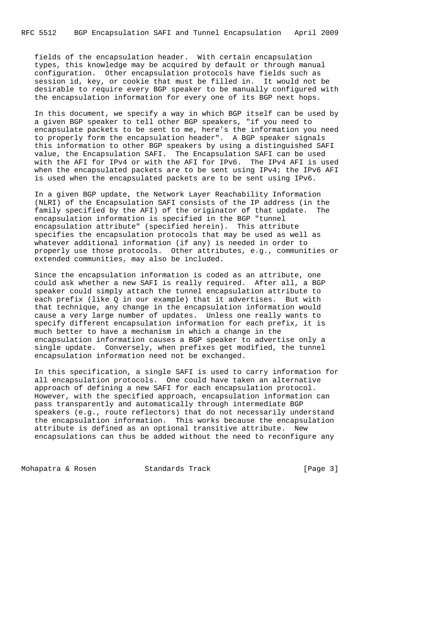fields of the encapsulation header. With certain encapsulation types, this knowledge may be acquired by default or through manual configuration. Other encapsulation protocols have fields such as session id, key, or cookie that must be filled in. It would not be desirable to require every BGP speaker to be manually configured with the encapsulation information for every one of its BGP next hops.

 In this document, we specify a way in which BGP itself can be used by a given BGP speaker to tell other BGP speakers, "if you need to encapsulate packets to be sent to me, here's the information you need to properly form the encapsulation header". A BGP speaker signals this information to other BGP speakers by using a distinguished SAFI value, the Encapsulation SAFI. The Encapsulation SAFI can be used with the AFI for IPv4 or with the AFI for IPv6. The IPv4 AFI is used when the encapsulated packets are to be sent using  $IPv4$ ; the IPv6 AFI is used when the encapsulated packets are to be sent using IPv6.

 In a given BGP update, the Network Layer Reachability Information (NLRI) of the Encapsulation SAFI consists of the IP address (in the family specified by the AFI) of the originator of that update. The encapsulation information is specified in the BGP "tunnel encapsulation attribute" (specified herein). This attribute specifies the encapsulation protocols that may be used as well as whatever additional information (if any) is needed in order to properly use those protocols. Other attributes, e.g., communities or extended communities, may also be included.

 Since the encapsulation information is coded as an attribute, one could ask whether a new SAFI is really required. After all, a BGP speaker could simply attach the tunnel encapsulation attribute to each prefix (like Q in our example) that it advertises. But with that technique, any change in the encapsulation information would cause a very large number of updates. Unless one really wants to specify different encapsulation information for each prefix, it is much better to have a mechanism in which a change in the encapsulation information causes a BGP speaker to advertise only a single update. Conversely, when prefixes get modified, the tunnel encapsulation information need not be exchanged.

 In this specification, a single SAFI is used to carry information for all encapsulation protocols. One could have taken an alternative approach of defining a new SAFI for each encapsulation protocol. However, with the specified approach, encapsulation information can pass transparently and automatically through intermediate BGP speakers (e.g., route reflectors) that do not necessarily understand the encapsulation information. This works because the encapsulation attribute is defined as an optional transitive attribute. New encapsulations can thus be added without the need to reconfigure any

Mohapatra & Rosen Standards Track (Page 3)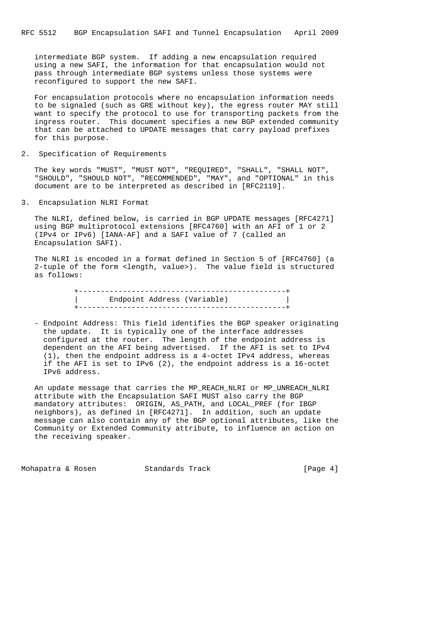intermediate BGP system. If adding a new encapsulation required using a new SAFI, the information for that encapsulation would not pass through intermediate BGP systems unless those systems were reconfigured to support the new SAFI.

 For encapsulation protocols where no encapsulation information needs to be signaled (such as GRE without key), the egress router MAY still want to specify the protocol to use for transporting packets from the ingress router. This document specifies a new BGP extended community that can be attached to UPDATE messages that carry payload prefixes for this purpose.

2. Specification of Requirements

 The key words "MUST", "MUST NOT", "REQUIRED", "SHALL", "SHALL NOT", "SHOULD", "SHOULD NOT", "RECOMMENDED", "MAY", and "OPTIONAL" in this document are to be interpreted as described in [RFC2119].

3. Encapsulation NLRI Format

 The NLRI, defined below, is carried in BGP UPDATE messages [RFC4271] using BGP multiprotocol extensions [RFC4760] with an AFI of 1 or 2 (IPv4 or IPv6) [IANA-AF] and a SAFI value of 7 (called an Encapsulation SAFI).

 The NLRI is encoded in a format defined in Section 5 of [RFC4760] (a 2-tuple of the form <length, value>). The value field is structured as follows:

> +-----------------------------------------------+ | Endpoint Address (Variable) | +-----------------------------------------------+

 - Endpoint Address: This field identifies the BGP speaker originating the update. It is typically one of the interface addresses configured at the router. The length of the endpoint address is dependent on the AFI being advertised. If the AFI is set to IPv4 (1), then the endpoint address is a 4-octet IPv4 address, whereas if the AFI is set to IPv6 (2), the endpoint address is a 16-octet IPv6 address.

 An update message that carries the MP\_REACH\_NLRI or MP\_UNREACH\_NLRI attribute with the Encapsulation SAFI MUST also carry the BGP mandatory attributes: ORIGIN, AS\_PATH, and LOCAL\_PREF (for IBGP neighbors), as defined in [RFC4271]. In addition, such an update message can also contain any of the BGP optional attributes, like the Community or Extended Community attribute, to influence an action on the receiving speaker.

Mohapatra & Rosen Standards Track (Page 4)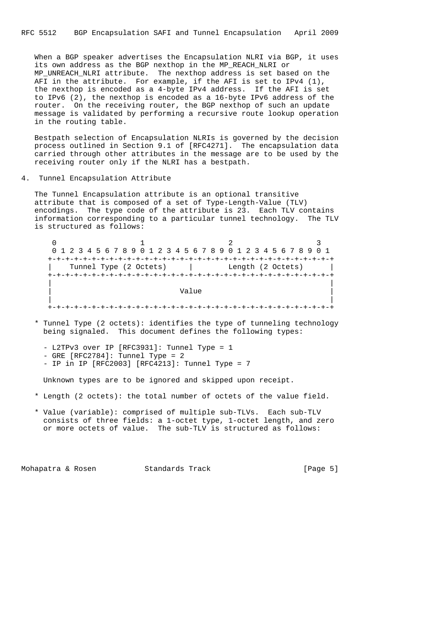When a BGP speaker advertises the Encapsulation NLRI via BGP, it uses its own address as the BGP nexthop in the MP\_REACH\_NLRI or MP UNREACH NLRI attribute. The nexthop address is set based on the AFI in the attribute. For example, if the AFI is set to IPv4 (1), the nexthop is encoded as a 4-byte IPv4 address. If the AFI is set to IPv6 (2), the nexthop is encoded as a 16-byte IPv6 address of the router. On the receiving router, the BGP nexthop of such an update message is validated by performing a recursive route lookup operation in the routing table.

 Bestpath selection of Encapsulation NLRIs is governed by the decision process outlined in Section 9.1 of [RFC4271]. The encapsulation data carried through other attributes in the message are to be used by the receiving router only if the NLRI has a bestpath.

4. Tunnel Encapsulation Attribute

 The Tunnel Encapsulation attribute is an optional transitive attribute that is composed of a set of Type-Length-Value (TLV) encodings. The type code of the attribute is 23. Each TLV contains information corresponding to a particular tunnel technology. The TLV is structured as follows:

 $0$  1 2 3 0 1 2 3 4 5 6 7 8 9 0 1 2 3 4 5 6 7 8 9 0 1 2 3 4 5 6 7 8 9 0 1 +-+-+-+-+-+-+-+-+-+-+-+-+-+-+-+-+-+-+-+-+-+-+-+-+-+-+-+-+-+-+-+-+ | Tunnel Type (2 Octets) | Length (2 Octets) | +-+-+-+-+-+-+-+-+-+-+-+-+-+-+-+-+-+-+-+-+-+-+-+-+-+-+-+-+-+-+-+-+ | | | Value | | | +-+-+-+-+-+-+-+-+-+-+-+-+-+-+-+-+-+-+-+-+-+-+-+-+-+-+-+-+-+-+-+-+

- \* Tunnel Type (2 octets): identifies the type of tunneling technology being signaled. This document defines the following types:
	- L2TPv3 over IP [RFC3931]: Tunnel Type = 1 - GRE [RFC2784]: Tunnel Type = 2 - IP in IP [RFC2003] [RFC4213]: Tunnel Type = 7

Unknown types are to be ignored and skipped upon receipt.

- \* Length (2 octets): the total number of octets of the value field.
- \* Value (variable): comprised of multiple sub-TLVs. Each sub-TLV consists of three fields: a 1-octet type, 1-octet length, and zero or more octets of value. The sub-TLV is structured as follows:

Mohapatra & Rosen Standards Track (Page 5)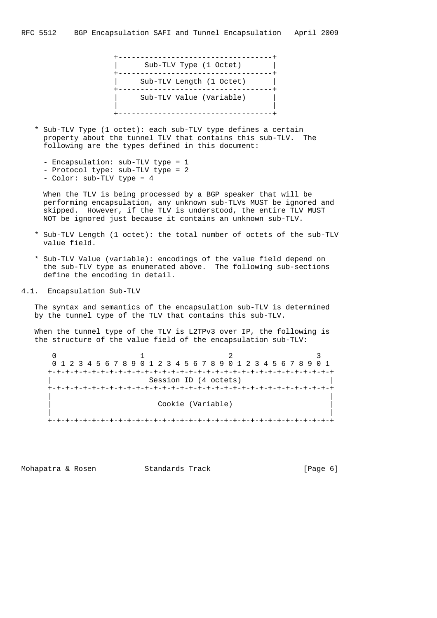| Sub-TLV Type (1 Octet)   |
|--------------------------|
| Sub-TLV Length (1 Octet) |
| Sub-TLV Value (Variable) |

- \* Sub-TLV Type (1 octet): each sub-TLV type defines a certain property about the tunnel TLV that contains this sub-TLV. The following are the types defined in this document:
	- Encapsulation: sub-TLV type = 1
	- Protocol type: sub-TLV type = 2
	- Color: sub-TLV type = 4

 When the TLV is being processed by a BGP speaker that will be performing encapsulation, any unknown sub-TLVs MUST be ignored and skipped. However, if the TLV is understood, the entire TLV MUST NOT be ignored just because it contains an unknown sub-TLV.

- \* Sub-TLV Length (1 octet): the total number of octets of the sub-TLV value field.
- \* Sub-TLV Value (variable): encodings of the value field depend on the sub-TLV type as enumerated above. The following sub-sections define the encoding in detail.
- 4.1. Encapsulation Sub-TLV

 The syntax and semantics of the encapsulation sub-TLV is determined by the tunnel type of the TLV that contains this sub-TLV.

When the tunnel type of the TLV is L2TPv3 over IP, the following is the structure of the value field of the encapsulation sub-TLV:

 $0$  1 2 3 0 1 2 3 4 5 6 7 8 9 0 1 2 3 4 5 6 7 8 9 0 1 2 3 4 5 6 7 8 9 0 1 +-+-+-+-+-+-+-+-+-+-+-+-+-+-+-+-+-+-+-+-+-+-+-+-+-+-+-+-+-+-+-+-+ Session ID (4 octets) +-+-+-+-+-+-+-+-+-+-+-+-+-+-+-+-+-+-+-+-+-+-+-+-+-+-+-+-+-+-+-+-+ | | Cookie (Variable) | | +-+-+-+-+-+-+-+-+-+-+-+-+-+-+-+-+-+-+-+-+-+-+-+-+-+-+-+-+-+-+-+-+

Mohapatra & Rosen Standards Track [Page 6]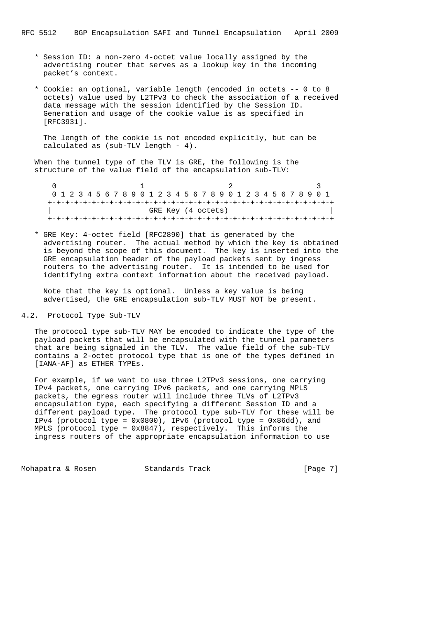- \* Session ID: a non-zero 4-octet value locally assigned by the advertising router that serves as a lookup key in the incoming packet's context.
- \* Cookie: an optional, variable length (encoded in octets -- 0 to 8 octets) value used by L2TPv3 to check the association of a received data message with the session identified by the Session ID. Generation and usage of the cookie value is as specified in [RFC3931].

 The length of the cookie is not encoded explicitly, but can be calculated as (sub-TLV length - 4).

 When the tunnel type of the TLV is GRE, the following is the structure of the value field of the encapsulation sub-TLV:

0  $1$  2 3 0 1 2 3 4 5 6 7 8 9 0 1 2 3 4 5 6 7 8 9 0 1 2 3 4 5 6 7 8 9 0 1 +-+-+-+-+-+-+-+-+-+-+-+-+-+-+-+-+-+-+-+-+-+-+-+-+-+-+-+-+-+-+-+-+ GRE Key (4 octets) +-+-+-+-+-+-+-+-+-+-+-+-+-+-+-+-+-+-+-+-+-+-+-+-+-+-+-+-+-+-+-+-+

 \* GRE Key: 4-octet field [RFC2890] that is generated by the advertising router. The actual method by which the key is obtained is beyond the scope of this document. The key is inserted into the GRE encapsulation header of the payload packets sent by ingress routers to the advertising router. It is intended to be used for identifying extra context information about the received payload.

 Note that the key is optional. Unless a key value is being advertised, the GRE encapsulation sub-TLV MUST NOT be present.

## 4.2. Protocol Type Sub-TLV

 The protocol type sub-TLV MAY be encoded to indicate the type of the payload packets that will be encapsulated with the tunnel parameters that are being signaled in the TLV. The value field of the sub-TLV contains a 2-octet protocol type that is one of the types defined in [IANA-AF] as ETHER TYPEs.

 For example, if we want to use three L2TPv3 sessions, one carrying IPv4 packets, one carrying IPv6 packets, and one carrying MPLS packets, the egress router will include three TLVs of L2TPv3 encapsulation type, each specifying a different Session ID and a different payload type. The protocol type sub-TLV for these will be IPv4 (protocol type = 0x0800), IPv6 (protocol type = 0x86dd), and MPLS (protocol type = 0x8847), respectively. This informs the ingress routers of the appropriate encapsulation information to use

Mohapatra & Rosen Standards Track [Page 7]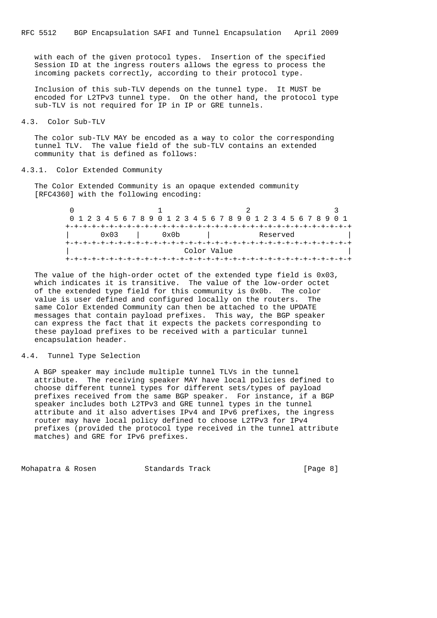with each of the given protocol types. Insertion of the specified Session ID at the ingress routers allows the egress to process the incoming packets correctly, according to their protocol type.

 Inclusion of this sub-TLV depends on the tunnel type. It MUST be encoded for L2TPv3 tunnel type. On the other hand, the protocol type sub-TLV is not required for IP in IP or GRE tunnels.

## 4.3. Color Sub-TLV

 The color sub-TLV MAY be encoded as a way to color the corresponding tunnel TLV. The value field of the sub-TLV contains an extended community that is defined as follows:

## 4.3.1. Color Extended Community

 The Color Extended Community is an opaque extended community [RFC4360] with the following encoding:

|               |      | 0 1 2 3 4 5 6 7 8 9 0 1 2 3 4 5 6 7 8 9 0 1 2 3 4 5 6 7 8 9 0 1 |  |
|---------------|------|-----------------------------------------------------------------|--|
|               |      |                                                                 |  |
| $0 \times 03$ | 0x0b | Reserved                                                        |  |
|               |      |                                                                 |  |
|               |      | Color Value                                                     |  |
|               |      |                                                                 |  |

 The value of the high-order octet of the extended type field is 0x03, which indicates it is transitive. The value of the low-order octet of the extended type field for this community is 0x0b. The color value is user defined and configured locally on the routers. The same Color Extended Community can then be attached to the UPDATE messages that contain payload prefixes. This way, the BGP speaker can express the fact that it expects the packets corresponding to these payload prefixes to be received with a particular tunnel encapsulation header.

## 4.4. Tunnel Type Selection

 A BGP speaker may include multiple tunnel TLVs in the tunnel attribute. The receiving speaker MAY have local policies defined to choose different tunnel types for different sets/types of payload prefixes received from the same BGP speaker. For instance, if a BGP speaker includes both L2TPv3 and GRE tunnel types in the tunnel attribute and it also advertises IPv4 and IPv6 prefixes, the ingress router may have local policy defined to choose L2TPv3 for IPv4 prefixes (provided the protocol type received in the tunnel attribute matches) and GRE for IPv6 prefixes.

Mohapatra & Rosen Standards Track (Page 8)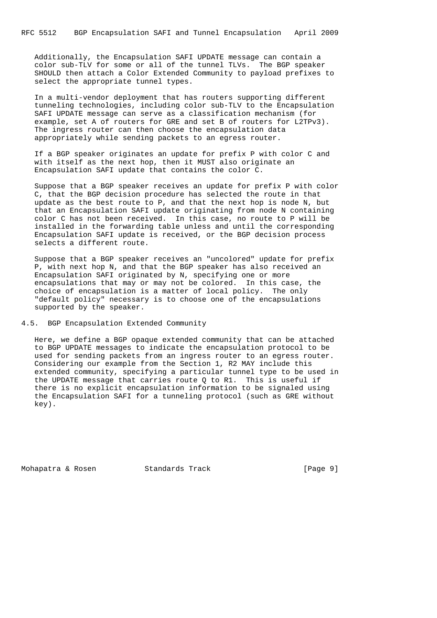Additionally, the Encapsulation SAFI UPDATE message can contain a color sub-TLV for some or all of the tunnel TLVs. The BGP speaker SHOULD then attach a Color Extended Community to payload prefixes to select the appropriate tunnel types.

 In a multi-vendor deployment that has routers supporting different tunneling technologies, including color sub-TLV to the Encapsulation SAFI UPDATE message can serve as a classification mechanism (for example, set A of routers for GRE and set B of routers for L2TPv3). The ingress router can then choose the encapsulation data appropriately while sending packets to an egress router.

 If a BGP speaker originates an update for prefix P with color C and with itself as the next hop, then it MUST also originate an Encapsulation SAFI update that contains the color C.

 Suppose that a BGP speaker receives an update for prefix P with color C, that the BGP decision procedure has selected the route in that update as the best route to P, and that the next hop is node N, but that an Encapsulation SAFI update originating from node N containing color C has not been received. In this case, no route to P will be installed in the forwarding table unless and until the corresponding Encapsulation SAFI update is received, or the BGP decision process selects a different route.

 Suppose that a BGP speaker receives an "uncolored" update for prefix P, with next hop N, and that the BGP speaker has also received an Encapsulation SAFI originated by N, specifying one or more encapsulations that may or may not be colored. In this case, the choice of encapsulation is a matter of local policy. The only "default policy" necessary is to choose one of the encapsulations supported by the speaker.

4.5. BGP Encapsulation Extended Community

 Here, we define a BGP opaque extended community that can be attached to BGP UPDATE messages to indicate the encapsulation protocol to be used for sending packets from an ingress router to an egress router. Considering our example from the Section 1, R2 MAY include this extended community, specifying a particular tunnel type to be used in the UPDATE message that carries route  $Q$  to R1. This is useful if there is no explicit encapsulation information to be signaled using the Encapsulation SAFI for a tunneling protocol (such as GRE without key).

Mohapatra & Rosen Standards Track [Page 9]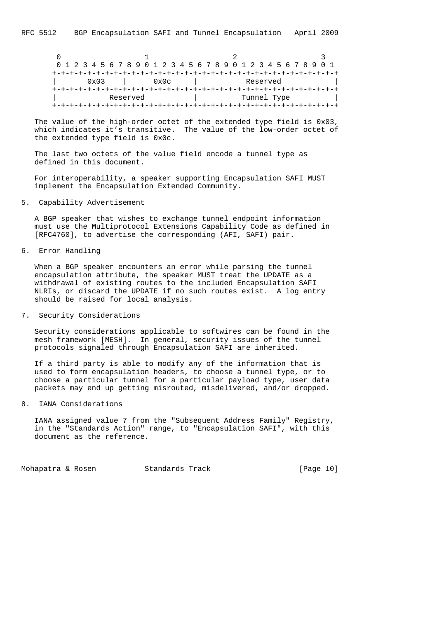|  |  |               |  |  |                           |  |      |  |  |  |  |  |             |  |  | 0 1 2 3 4 5 6 7 8 9 0 1 2 3 4 5 6 7 8 9 0 1 2 3 4 5 6 7 8 9 0 1 |  |
|--|--|---------------|--|--|---------------------------|--|------|--|--|--|--|--|-------------|--|--|-----------------------------------------------------------------|--|
|  |  |               |  |  |                           |  |      |  |  |  |  |  |             |  |  |                                                                 |  |
|  |  | $0 \times 03$ |  |  |                           |  | 0x0c |  |  |  |  |  | Reserved    |  |  |                                                                 |  |
|  |  |               |  |  | +-+-+-+-+-+-+-+-+-+-+-+-+ |  |      |  |  |  |  |  |             |  |  |                                                                 |  |
|  |  |               |  |  | Reserved                  |  |      |  |  |  |  |  | Tunnel Type |  |  |                                                                 |  |
|  |  |               |  |  |                           |  |      |  |  |  |  |  |             |  |  |                                                                 |  |

 The value of the high-order octet of the extended type field is 0x03, which indicates it's transitive. The value of the low-order octet of the extended type field is 0x0c.

 The last two octets of the value field encode a tunnel type as defined in this document.

 For interoperability, a speaker supporting Encapsulation SAFI MUST implement the Encapsulation Extended Community.

# 5. Capability Advertisement

 A BGP speaker that wishes to exchange tunnel endpoint information must use the Multiprotocol Extensions Capability Code as defined in [RFC4760], to advertise the corresponding (AFI, SAFI) pair.

## 6. Error Handling

 When a BGP speaker encounters an error while parsing the tunnel encapsulation attribute, the speaker MUST treat the UPDATE as a withdrawal of existing routes to the included Encapsulation SAFI NLRIs, or discard the UPDATE if no such routes exist. A log entry should be raised for local analysis.

7. Security Considerations

 Security considerations applicable to softwires can be found in the mesh framework [MESH]. In general, security issues of the tunnel protocols signaled through Encapsulation SAFI are inherited.

 If a third party is able to modify any of the information that is used to form encapsulation headers, to choose a tunnel type, or to choose a particular tunnel for a particular payload type, user data packets may end up getting misrouted, misdelivered, and/or dropped.

8. IANA Considerations

 IANA assigned value 7 from the "Subsequent Address Family" Registry, in the "Standards Action" range, to "Encapsulation SAFI", with this document as the reference.

Mohapatra & Rosen Standards Track [Page 10]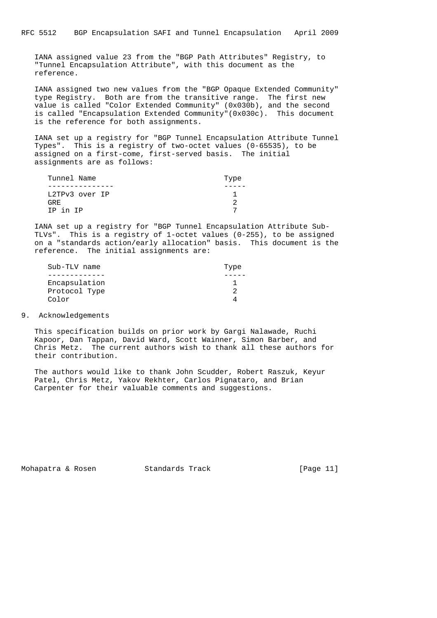IANA assigned value 23 from the "BGP Path Attributes" Registry, to "Tunnel Encapsulation Attribute", with this document as the reference.

 IANA assigned two new values from the "BGP Opaque Extended Community" type Registry. Both are from the transitive range. The first new value is called "Color Extended Community" (0x030b), and the second is called "Encapsulation Extended Community"(0x030c). This document is the reference for both assignments.

 IANA set up a registry for "BGP Tunnel Encapsulation Attribute Tunnel Types". This is a registry of two-octet values (0-65535), to be assigned on a first-come, first-served basis. The initial assignments are as follows:

| Tunnel Name    | Type |
|----------------|------|
|                |      |
| L2TPv3 over IP |      |
| GR F.          |      |
| TP in TP       |      |

 IANA set up a registry for "BGP Tunnel Encapsulation Attribute Sub- TLVs". This is a registry of 1-octet values (0-255), to be assigned on a "standards action/early allocation" basis. This document is the reference. The initial assignments are:

| Sub-TLV name  | Type |
|---------------|------|
|               |      |
| Encapsulation |      |
| Protocol Type | Ω    |
| Color         |      |

# 9. Acknowledgements

 This specification builds on prior work by Gargi Nalawade, Ruchi Kapoor, Dan Tappan, David Ward, Scott Wainner, Simon Barber, and Chris Metz. The current authors wish to thank all these authors for their contribution.

 The authors would like to thank John Scudder, Robert Raszuk, Keyur Patel, Chris Metz, Yakov Rekhter, Carlos Pignataro, and Brian Carpenter for their valuable comments and suggestions.

Mohapatra & Rosen Standards Track [Page 11]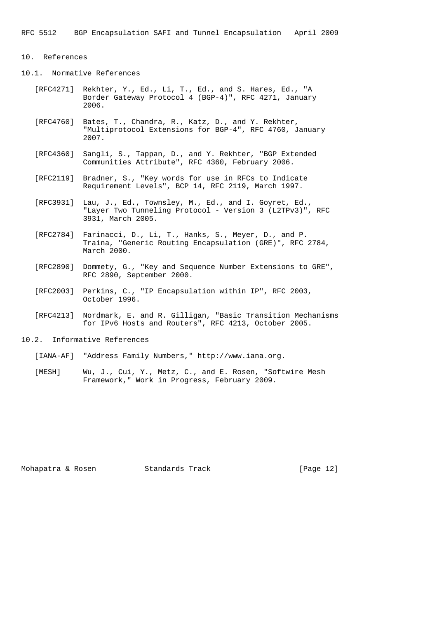10. References

10.1. Normative References

- [RFC4271] Rekhter, Y., Ed., Li, T., Ed., and S. Hares, Ed., "A Border Gateway Protocol 4 (BGP-4)", RFC 4271, January 2006.
- [RFC4760] Bates, T., Chandra, R., Katz, D., and Y. Rekhter, "Multiprotocol Extensions for BGP-4", RFC 4760, January 2007.
- [RFC4360] Sangli, S., Tappan, D., and Y. Rekhter, "BGP Extended Communities Attribute", RFC 4360, February 2006.
- [RFC2119] Bradner, S., "Key words for use in RFCs to Indicate Requirement Levels", BCP 14, RFC 2119, March 1997.
- [RFC3931] Lau, J., Ed., Townsley, M., Ed., and I. Goyret, Ed., "Layer Two Tunneling Protocol - Version 3 (L2TPv3)", RFC 3931, March 2005.
- [RFC2784] Farinacci, D., Li, T., Hanks, S., Meyer, D., and P. Traina, "Generic Routing Encapsulation (GRE)", RFC 2784, March 2000.
- [RFC2890] Dommety, G., "Key and Sequence Number Extensions to GRE", RFC 2890, September 2000.
- [RFC2003] Perkins, C., "IP Encapsulation within IP", RFC 2003, October 1996.
- [RFC4213] Nordmark, E. and R. Gilligan, "Basic Transition Mechanisms for IPv6 Hosts and Routers", RFC 4213, October 2005.
- 10.2. Informative References
	- [IANA-AF] "Address Family Numbers," http://www.iana.org.
	- [MESH] Wu, J., Cui, Y., Metz, C., and E. Rosen, "Softwire Mesh Framework," Work in Progress, February 2009.

Mohapatra & Rosen Standards Track [Page 12]